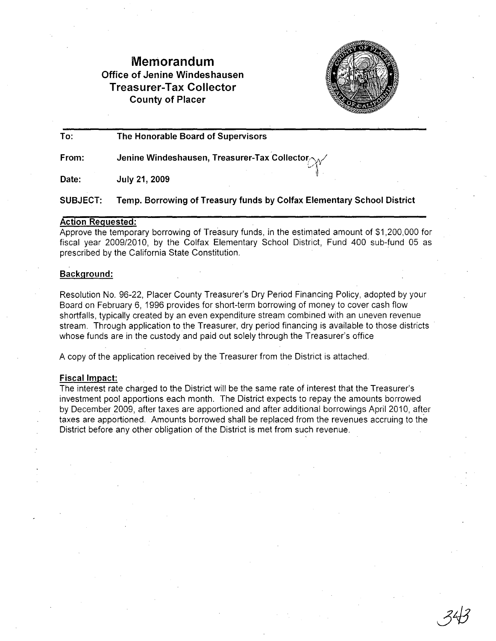## **Memorandum Office of Jenine Windeshausen Treasurer-Tax Collector County of Placer**



~" ij

**To: The Honorable Board of Supervisors**

**From: Jenine Windeshausen, Treasurer-Tax Collector** 

**July 21, 2009 Date:**

**SUBJECT: Temp. Borrowing of Treasury funds by Colfax Elementary School District**

#### **Action Requested:**

Approve the temporary borrowing of Treasury funds, in the estimated amount of \$1,200,000 for fiscal year 2009/2010, by the Colfax Elementary School District, Fund 400 sub-fund 05 as prescribed by the California State Constitution.

#### **Background:**

Resolution No. 96-22, Placer County Treasurer's Dry Period Financing Policy, adopted by your Board on February 6, 1996 provides for short-term borrowing of money to cover cash flow shortfalls, typically created by an even expenditure stream combined with an uneven revenue stream. Through application to the Treasurer, dry period financing is available to those districts whose funds are in the custody and paid out solely through the Treasurer's office

A copy of the application received by the Treasurer from the District is attached.

#### **Fiscal Impact:**

**The** interest rate charged to the District will be the same rate of interest that the Treasurer's investment pool apportions each month. The District expects to repay the amounts borrowed by December 2009, after taxes are apportioned and after additional borrowings April 2010, after taxes are apportioned. Amounts borrowed shall be replaced from the revenues accruing to the District before any other obligation of the District is met from such revenue.